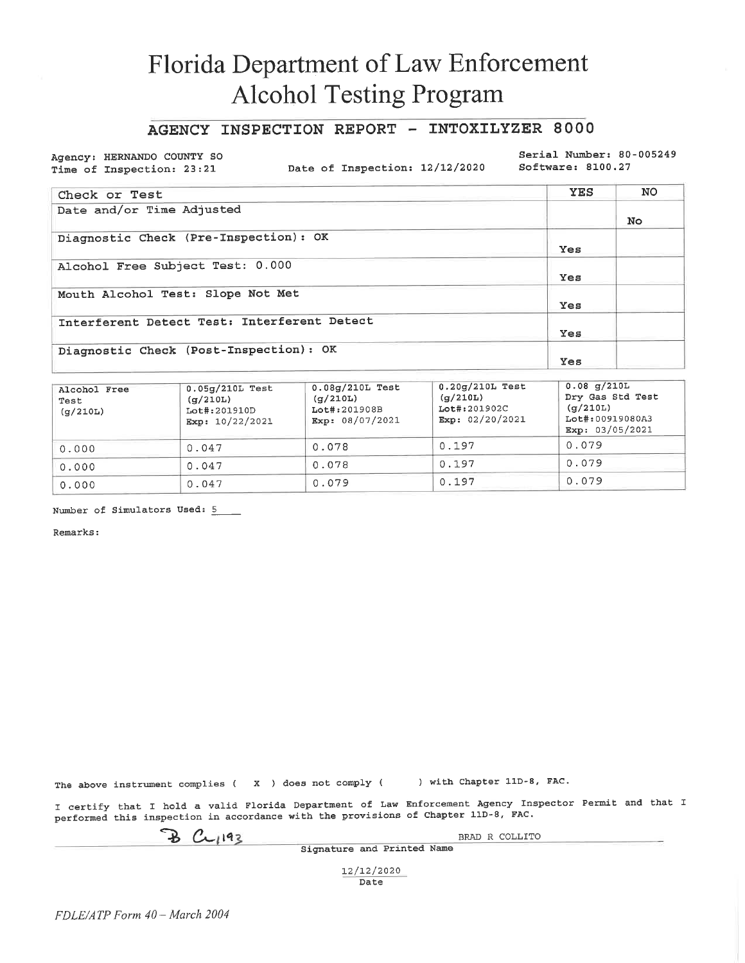### AGENCY INSPECTION REPORT - INTOXILYZER 8000

Agency: HERNANDO COUNTY SO Time of Inspection: 23:21

Date of Inspection: 12/12/2020

Serial Number: 80-005249 Software: 8100.27

| Check or Test                               | <b>YES</b> | NO. |
|---------------------------------------------|------------|-----|
| Date and/or Time Adjusted                   |            | No. |
| Diagnostic Check (Pre-Inspection): OK       | <b>Yes</b> |     |
| Alcohol Free Subject Test: 0.000            | Yes        |     |
| Mouth Alcohol Test: Slope Not Met           | Yes        |     |
| Interferent Detect Test: Interferent Detect | Yes        |     |
| Diagnostic Check (Post-Inspection): OK      | Yes        |     |

| Alcohol Free<br>Test<br>(q/210L) | $0.05q/210L$ Test<br>(q/210L)<br>Lot#:201910D<br>Exp: $10/22/2021$ | $0.08g/210L$ Test<br>(q/210L)<br>Lot#:201908B<br>Exp: 08/07/2021 | $0.20q/210L$ Test<br>(q/210L)<br>Lot#:201902C<br>Exp: $02/20/2021$ | $0.08$ g/210L<br>Dry Gas Std Test<br>$(\sigma/210L)$<br>Lot#:00919080A3<br>Exp: 03/05/2021 |
|----------------------------------|--------------------------------------------------------------------|------------------------------------------------------------------|--------------------------------------------------------------------|--------------------------------------------------------------------------------------------|
| 0.000                            | 0.047                                                              | 0.078                                                            | 0.197                                                              | 0.079                                                                                      |
| 0.000                            | 0.047                                                              | 0.078                                                            | 0.197                                                              | 0.079                                                                                      |
| 0.000                            | 0.047                                                              | 0.079                                                            | 0.197                                                              | 0.079                                                                                      |

Number of Simulators Used: 5

Remarks:

The above instrument complies ( $\boldsymbol{X}$ ) does not comply (

) with Chapter 11D-8, FAC.

I certify that I hold a valid Florida Department of Law Enforcement Agency Inspector Permit and that I performed this inspection in accordance with the provisions of Chapter 11D-8, FAC.

 $B$   $C$  $1193$ 

BRAD R COLLITO

Signature and Printed Name

12/12/2020 Date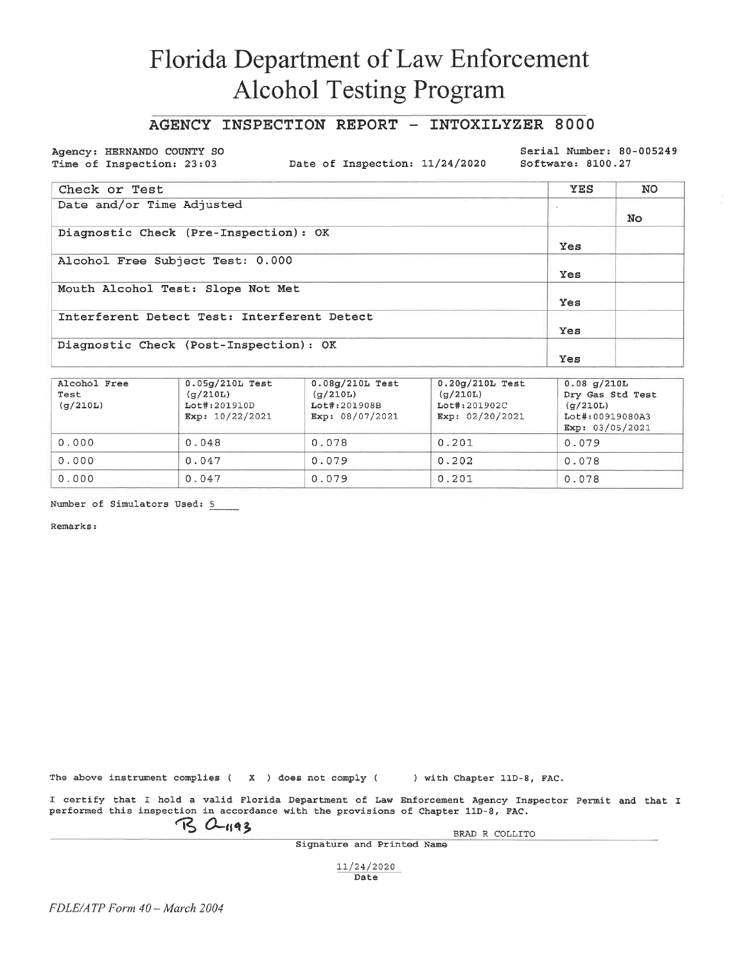### AGENCY INSPECTION REPORT - INTOXILYZER 8000

Agency: HERNANDO COUNTY SO Time of Inspection: 23:03

Date of Inspection: 11/24/2020

Serial Number: 80-005249 Software: 8100.27

| Check or Test                               | <b>YES</b> | NO  |
|---------------------------------------------|------------|-----|
| Date and/or Time Adjusted                   |            | No. |
| Diagnostic Check (Pre-Inspection): OK       | Yes        |     |
| Alcohol Free Subject Test: 0.000            | Yes        |     |
| Mouth Alcohol Test: Slope Not Met           | Yes        |     |
| Interferent Detect Test: Interferent Detect | Yes        |     |
| Diagnostic Check (Post-Inspection): OK      | Yes        |     |

| Alcohol Free<br>Test<br>(q/210L) | $0.05q/210L$ Test<br>(g/210L)<br>Lot#:201910D<br>Exp: $10/22/2021$ | $0.08q/210L$ Test<br>(g/210L)<br>Lot#:201908B<br>Exp: 08/07/2021 | $0.20q/210L$ Test<br>(g/210L)<br>Lot#:201902C<br>Exp: $02/20/2021$ | $0.08$ g/210L<br>Dry Gas Std Test<br>(q/210L)<br>Lot#:00919080A3<br>Exp: $03/05/2021$ |
|----------------------------------|--------------------------------------------------------------------|------------------------------------------------------------------|--------------------------------------------------------------------|---------------------------------------------------------------------------------------|
| 0.000                            | 0.048                                                              | 0.078                                                            | 0.201                                                              | 0.079                                                                                 |
| 0.000                            | 0.047                                                              | 0.079                                                            | 0.202                                                              | 0.078                                                                                 |
| 0.000                            | 0.047                                                              | 0.079                                                            | 0.201                                                              | 0.078                                                                                 |

Number of Simulators Used: 5

Remarks:

The above instrument complies ( $X$ ) does not comply () with Chapter 11D-8, FAC.

I certify that I hold a valid Florida Department of Law Enforcement Agency Inspector Permit and that I performed this inspection in accordance with the provisions of Chapter 11D-8, FAC.

 $\n **B** \n **C**1193\n$ 

BRAD R COLLITO

Signature and Printed Name

11/24/2020 Date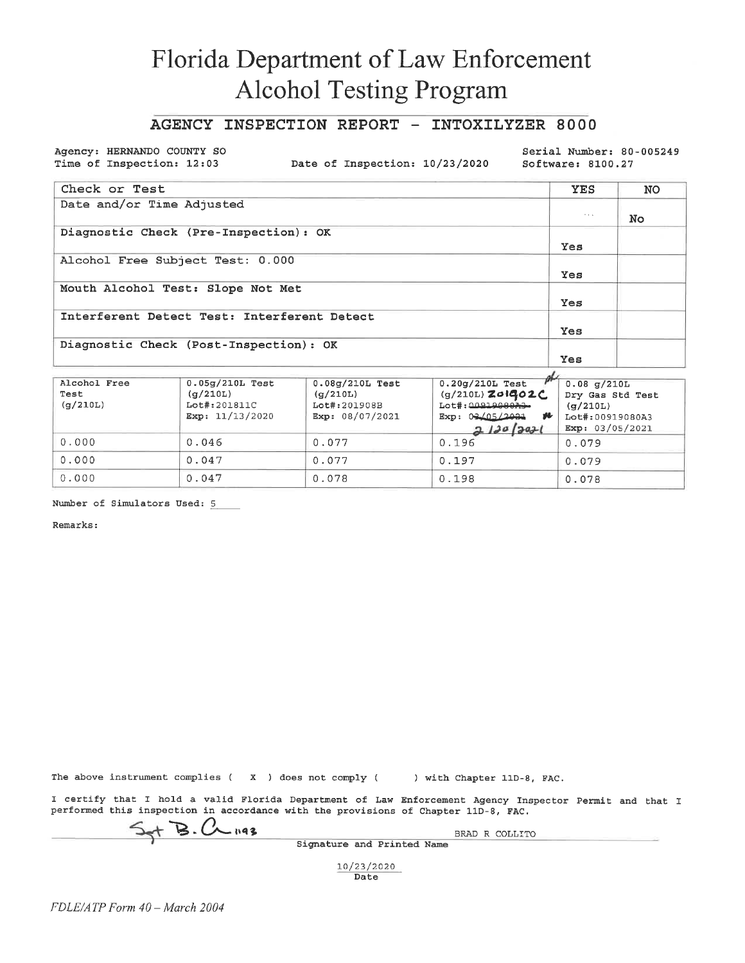### AGENCY INSPECTION REPORT - INTOXILYZER 8000

Agency: HERNANDO COUNTY SO Time of Inspection: 12:03

Date of Inspection: 10/23/2020

Serial Number: 80-005249 Software: 8100.27

| Check or Test                               | <b>YES</b>           | <b>NO</b> |
|---------------------------------------------|----------------------|-----------|
| Date and/or Time Adjusted                   |                      |           |
|                                             | $\sim$ $\sim$ $\sim$ | No.       |
| Diagnostic Check (Pre-Inspection): OK       |                      |           |
|                                             | Yes                  |           |
| Alcohol Free Subject Test: 0.000            |                      |           |
|                                             | Yes                  |           |
| Mouth Alcohol Test: Slope Not Met           |                      |           |
|                                             | Yes                  |           |
| Interferent Detect Test: Interferent Detect |                      |           |
|                                             | Yes                  |           |
| Diagnostic Check (Post-Inspection): OK      |                      |           |
|                                             | Yes                  |           |

| Alcohol Free<br>Test<br>(q/210L) | $0.05q/210L$ Test<br>(q/210L)<br>Lot#:201811C<br>Exp: $11/13/2020$ | $0.08g/210L$ Test<br>(q/210L)<br>Lot#:201908B<br>Exp: 08/07/2021 | $0.20q/210L$ Test<br>(g/210L) Z01402C<br>$Lot\#$ : $0091900073$<br>Exp: $0.3205/20.31$<br>v<br>2120 2021 | $0.08$ q/210L<br>Dry Gas Std Test<br>(q/210L)<br>Lot#:00919080A3<br>Exp: 03/05/2021 |
|----------------------------------|--------------------------------------------------------------------|------------------------------------------------------------------|----------------------------------------------------------------------------------------------------------|-------------------------------------------------------------------------------------|
| 0.000                            | 0.046                                                              | 0.077                                                            | 0.196                                                                                                    | 0.079                                                                               |
| 0.000                            | 0.047                                                              | 0.077                                                            | 0.197                                                                                                    | 0.079                                                                               |
| 0.000                            | 0.047                                                              | 0.078                                                            | 0.198                                                                                                    | 0.078                                                                               |

Number of Simulators Used: 5

Remarks:

The above instrument complies ( $\chi$ ) does not comply () with Chapter 11D-8, FAC.

I certify that I hold a valid Florida Department of Law Enforcement Agency Inspector Permit and that I performed this inspection in accordance with the provisions of Chapter 11D-8, FAC.

 $+$  B.  $C_{\leftarrow}$  193

BRAD R COLLITO Signature and Printed Name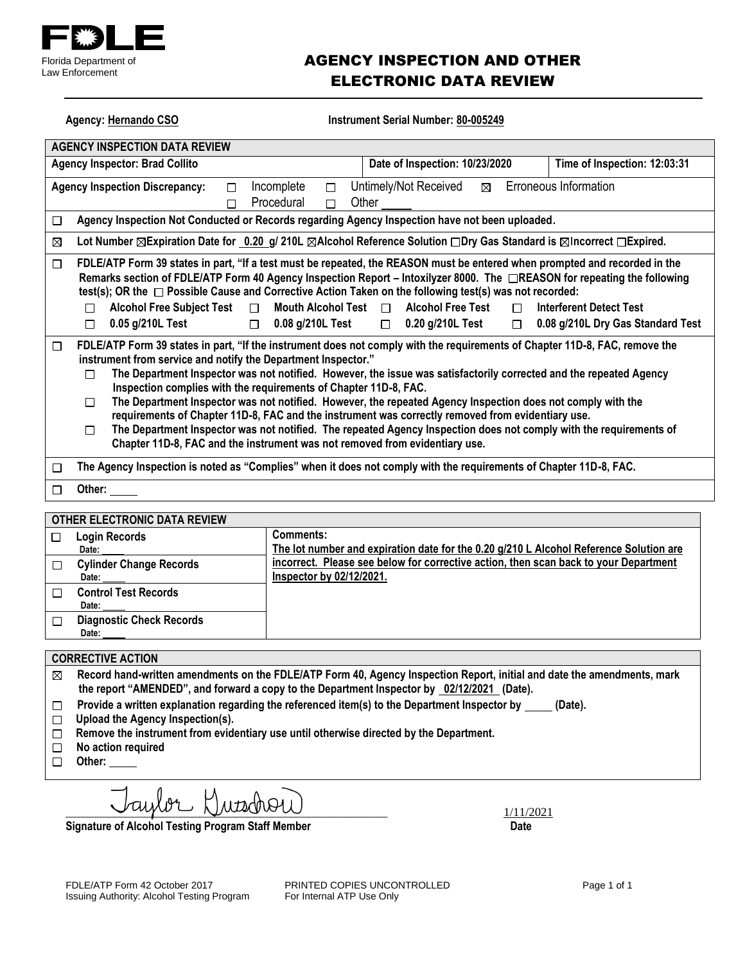

### AGENCY INSPECTION AND OTHER ELECTRONIC DATA REVIEW

Agency: Hernando CSO **Instrument Serial Number: 80-005249** 

| <b>AGENCY INSPECTION DATA REVIEW</b>                                                             |                                                                                                                                                                                                                                                                                                                                                                                                                                                                                                                                                                                                                                                                                                                                                |                                                                                    |
|--------------------------------------------------------------------------------------------------|------------------------------------------------------------------------------------------------------------------------------------------------------------------------------------------------------------------------------------------------------------------------------------------------------------------------------------------------------------------------------------------------------------------------------------------------------------------------------------------------------------------------------------------------------------------------------------------------------------------------------------------------------------------------------------------------------------------------------------------------|------------------------------------------------------------------------------------|
| <b>Agency Inspector: Brad Collito</b>                                                            | Date of Inspection: 10/23/2020                                                                                                                                                                                                                                                                                                                                                                                                                                                                                                                                                                                                                                                                                                                 | Time of Inspection: 12:03:31                                                       |
| <b>Agency Inspection Discrepancy:</b><br>$\Box$<br>П                                             | Untimely/Not Received<br>Incomplete<br>$\boxtimes$<br>$\Box$<br>Procedural<br>Other<br>П                                                                                                                                                                                                                                                                                                                                                                                                                                                                                                                                                                                                                                                       | Erroneous Information                                                              |
| □                                                                                                | Agency Inspection Not Conducted or Records regarding Agency Inspection have not been uploaded.                                                                                                                                                                                                                                                                                                                                                                                                                                                                                                                                                                                                                                                 |                                                                                    |
| ⊠                                                                                                | Lot Number ⊠Expiration Date for 0.20 g/ 210L ⊠Alcohol Reference Solution □Dry Gas Standard is ⊠Incorrect □Expired.                                                                                                                                                                                                                                                                                                                                                                                                                                                                                                                                                                                                                             |                                                                                    |
| □<br><b>Alcohol Free Subject Test</b><br>П<br>П<br>0.05 g/210L Test<br>$\Box$<br>$\Box$          | FDLE/ATP Form 39 states in part, "If a test must be repeated, the REASON must be entered when prompted and recorded in the<br>Remarks section of FDLE/ATP Form 40 Agency Inspection Report – Intoxilyzer 8000. The □REASON for repeating the following<br>test(s); OR the $\Box$ Possible Cause and Corrective Action Taken on the following test(s) was not recorded:<br>Mouth Alcohol Test $\Box$<br><b>Alcohol Free Test</b><br>0.08 g/210L Test<br>$\Box$ 0.20 g/210L Test                                                                                                                                                                                                                                                                 | <b>Interferent Detect Test</b><br>П<br>0.08 g/210L Dry Gas Standard Test<br>$\Box$ |
| □<br>instrument from service and notify the Department Inspector."<br>$\Box$<br>$\Box$<br>$\Box$ | FDLE/ATP Form 39 states in part, "If the instrument does not comply with the requirements of Chapter 11D-8, FAC, remove the<br>The Department Inspector was not notified. However, the issue was satisfactorily corrected and the repeated Agency<br>Inspection complies with the requirements of Chapter 11D-8, FAC.<br>The Department Inspector was not notified. However, the repeated Agency Inspection does not comply with the<br>requirements of Chapter 11D-8, FAC and the instrument was correctly removed from evidentiary use.<br>The Department Inspector was not notified. The repeated Agency Inspection does not comply with the requirements of<br>Chapter 11D-8, FAC and the instrument was not removed from evidentiary use. |                                                                                    |
| П                                                                                                | The Agency Inspection is noted as "Complies" when it does not comply with the requirements of Chapter 11D-8, FAC.                                                                                                                                                                                                                                                                                                                                                                                                                                                                                                                                                                                                                              |                                                                                    |
| Other:<br>П                                                                                      |                                                                                                                                                                                                                                                                                                                                                                                                                                                                                                                                                                                                                                                                                                                                                |                                                                                    |
|                                                                                                  |                                                                                                                                                                                                                                                                                                                                                                                                                                                                                                                                                                                                                                                                                                                                                |                                                                                    |
| OTHER ELECTRONIC DATA REVIEW<br><b>Login Records</b><br>□<br>Date:                               | <b>Comments:</b><br>The lot number and expiration date for the 0.20 g/210 L Alcohol Reference Solution are                                                                                                                                                                                                                                                                                                                                                                                                                                                                                                                                                                                                                                     |                                                                                    |
| <b>Cylinder Change Records</b><br>□<br>Date:                                                     | incorrect. Please see below for corrective action, then scan back to your Department<br>Inspector by 02/12/2021.                                                                                                                                                                                                                                                                                                                                                                                                                                                                                                                                                                                                                               |                                                                                    |
| <b>Control Test Records</b><br>П<br>Date:                                                        |                                                                                                                                                                                                                                                                                                                                                                                                                                                                                                                                                                                                                                                                                                                                                |                                                                                    |
| <b>Diagnostic Check Records</b><br>П                                                             |                                                                                                                                                                                                                                                                                                                                                                                                                                                                                                                                                                                                                                                                                                                                                |                                                                                    |

 **Date:** 

#### **CORRECTIVE ACTION**

- **Record hand-written amendments on the FDLE/ATP Form 40, Agency Inspection Report, initial and date the amendments, mark**   $\boxtimes$ **the report "AMENDED", and forward a copy to the Department Inspector by 02/12/2021 (Date).**
- Provide a written explanation regarding the referenced item(s) to the Department Inspector by \_\_\_\_\_ (Date).  $\Box$
- **Upload the Agency Inspection(s).**
- **Remove the instrument from evidentiary use until otherwise directed by the Department.**
- **No action required**  $\Box$
- **Other:**

 $\bigcup \text{unpol} \bigcup \text{unpol} \bigcup \bigcup$ 

**Signature of Alcohol Testing Program Staff Member Date**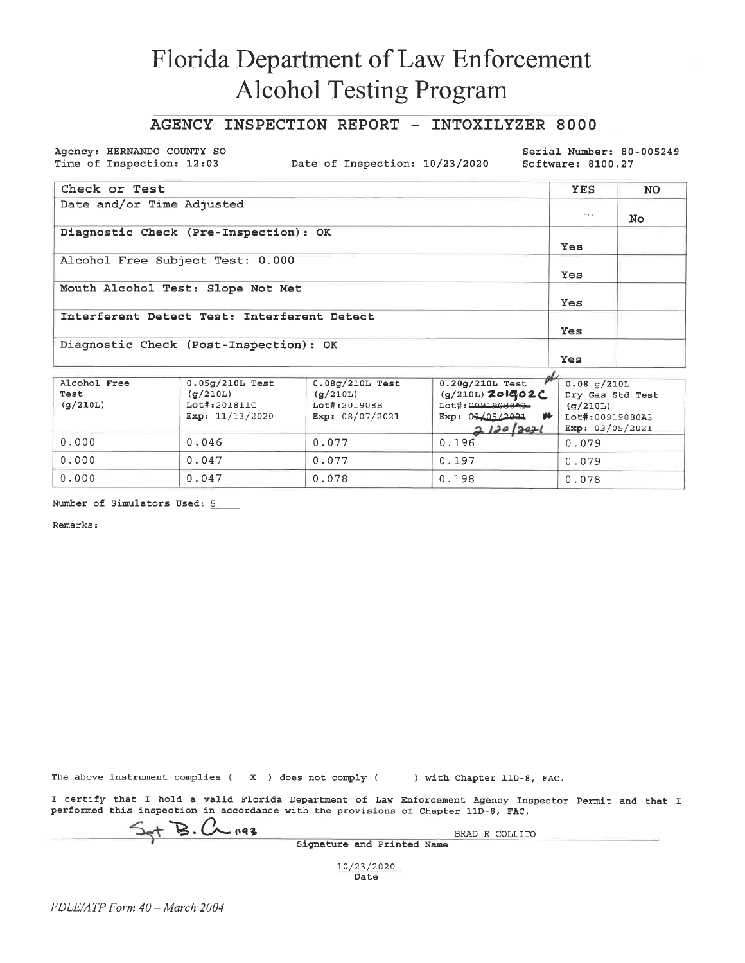### AGENCY INSPECTION REPORT - INTOXILYZER 8000

Agency: HERNANDO COUNTY SO Time of Inspection: 12:03

Date of Inspection: 10/23/2020

Serial Number: 80-005249 Software: 8100.27

| Check or Test                               | <b>YES</b>           | <b>NO</b> |
|---------------------------------------------|----------------------|-----------|
| Date and/or Time Adjusted                   |                      |           |
|                                             | $\sim$ $\sim$ $\sim$ | No.       |
| Diagnostic Check (Pre-Inspection): OK       |                      |           |
|                                             | Yes                  |           |
| Alcohol Free Subject Test: 0.000            |                      |           |
|                                             | Yes                  |           |
| Mouth Alcohol Test: Slope Not Met           |                      |           |
|                                             | Yes                  |           |
| Interferent Detect Test: Interferent Detect |                      |           |
|                                             | Yes                  |           |
| Diagnostic Check (Post-Inspection): OK      |                      |           |
|                                             | Yes                  |           |

| Alcohol Free<br>Test<br>(q/210L) | $0.05q/210L$ Test<br>(q/210L)<br>Lot#:201811C<br>Exp: $11/13/2020$ | $0.08g/210L$ Test<br>(q/210L)<br>Lot#:201908B<br>Exp: 08/07/2021 | $0.20q/210L$ Test<br>(g/210L) Z01402C<br>$Lot\#$ : $0091900073$<br>Exp: $0.3205/20.31$<br>v<br>2120 2021 | $0.08$ q/210L<br>Dry Gas Std Test<br>(q/210L)<br>Lot#:00919080A3<br>Exp: 03/05/2021 |
|----------------------------------|--------------------------------------------------------------------|------------------------------------------------------------------|----------------------------------------------------------------------------------------------------------|-------------------------------------------------------------------------------------|
| 0.000                            | 0.046                                                              | 0.077                                                            | 0.196                                                                                                    | 0.079                                                                               |
| 0.000                            | 0.047                                                              | 0.077                                                            | 0.197                                                                                                    | 0.079                                                                               |
| 0.000                            | 0.047                                                              | 0.078                                                            | 0.198                                                                                                    | 0.078                                                                               |

Number of Simulators Used: 5

Remarks:

The above instrument complies ( $\chi$ ) does not comply () with Chapter 11D-8, FAC.

I certify that I hold a valid Florida Department of Law Enforcement Agency Inspector Permit and that I performed this inspection in accordance with the provisions of Chapter 11D-8, FAC.

 $+$  B.  $C_{\leftarrow}$  193

BRAD R COLLITO Signature and Printed Name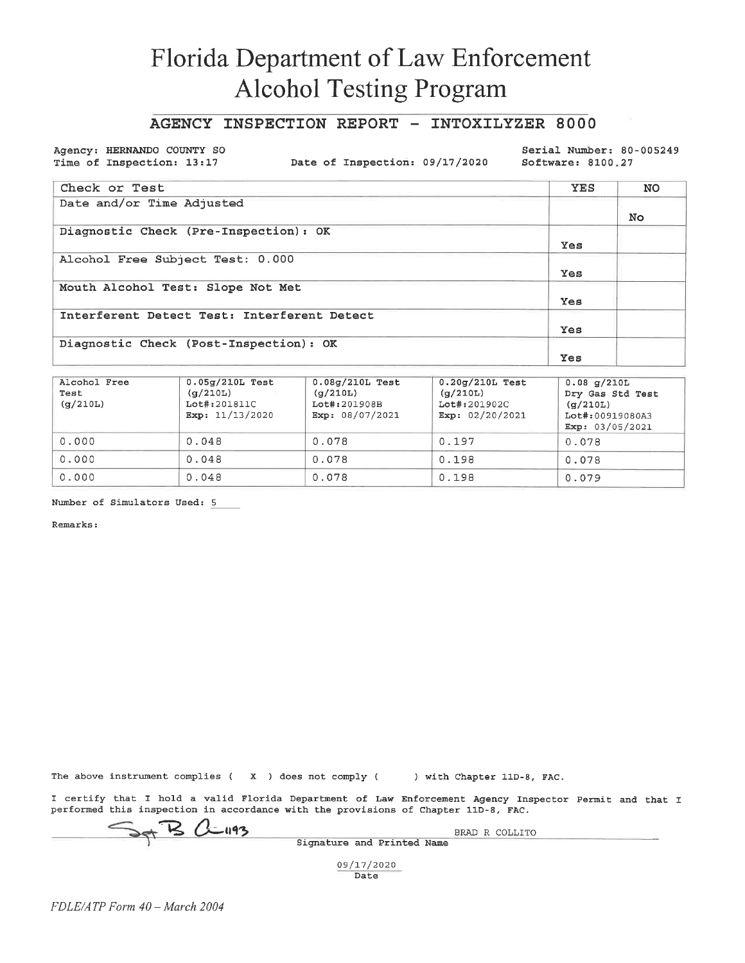#### AGENCY INSPECTION REPORT - INTOXILYZER 8000

Agency: HERNANDO COUNTY SO Time of Inspection: 13:17

Date of Inspection: 09/17/2020

Serial Number: 80-005249 Software: 8100.27

| Check or Test                               | YES | <b>NO</b> |
|---------------------------------------------|-----|-----------|
| Date and/or Time Adjusted                   |     | No.       |
| Diagnostic Check (Pre-Inspection): OK       | Yes |           |
| Alcohol Free Subject Test: 0.000            | Yes |           |
| Mouth Alcohol Test: Slope Not Met           | Yes |           |
| Interferent Detect Test: Interferent Detect | Yes |           |
| Diagnostic Check (Post-Inspection): OK      | Yes |           |

| Alcohol Free<br>Test<br>(q/210L) | $0.05q/210L$ Test<br>(q/210L)<br>Lot#:201811C<br>Exp: $11/13/2020$ | $0.08q/210L$ Test<br>(q/210L)<br>Lot#:201908B<br>Exp: $08/07/2021$ | $0.20q/210L$ Test<br>(q/210L)<br>Lot#:201902C<br>Exp: $02/20/2021$ | $0.08$ q/210L<br>Dry Gas Std Test<br>(q/210L)<br>Lot#:00919080A3<br>Exp: 03/05/2021 |
|----------------------------------|--------------------------------------------------------------------|--------------------------------------------------------------------|--------------------------------------------------------------------|-------------------------------------------------------------------------------------|
| 0.000                            | 0.048                                                              | 0.078                                                              | 0.197                                                              | 0.078                                                                               |
| 0.000                            | 0.048                                                              | 0.078                                                              | 0.198                                                              | 0.078                                                                               |
| 0.000                            | 0.048                                                              | 0.078                                                              | 0.198                                                              | 0.079                                                                               |

Number of Simulators Used: 5

Remarks:

The above instrument complies ( $\,$  X  $\,$  ) does not comply ( $\,$  ) with Chapter 11D-8, FAC.

I certify that I hold a valid Florida Department of Law Enforcement Agency Inspector Permit and that I performed this inspection in accordance with the provisions of Chapter 11D-8, FAC.

Set B alugs

BRAD R COLLITO Signature and Printed Name

09/17/2020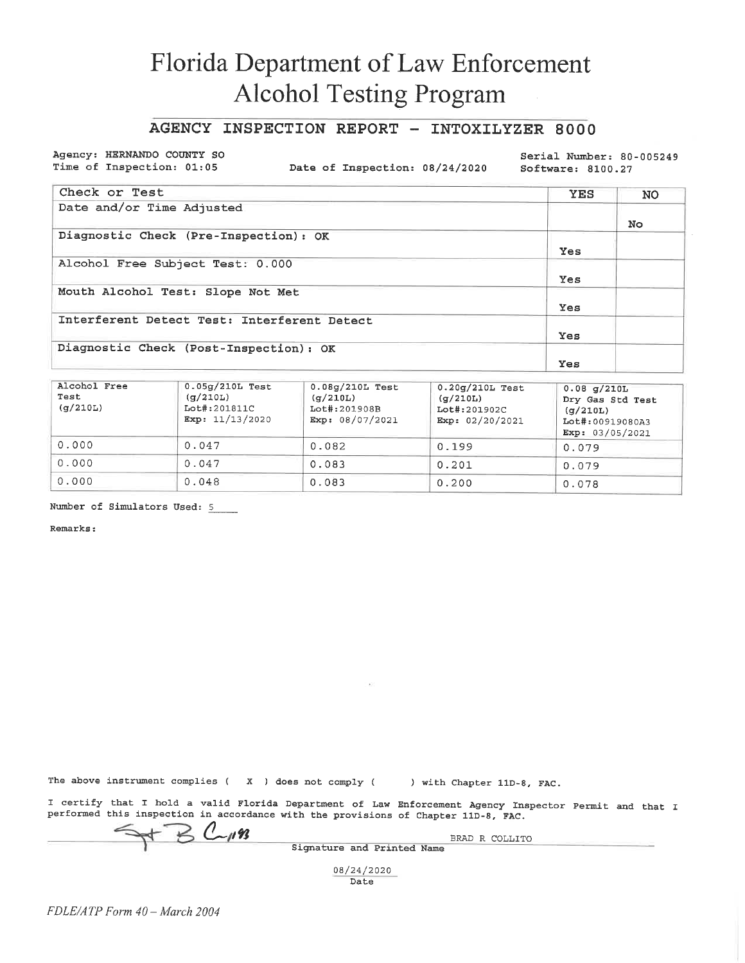### AGENCY INSPECTION REPORT - INTOXILYZER 8000

Agency: HERNANDO COUNTY SO Time of Inspection: 01:05

Date of Inspection: 08/24/2020

Serial Number: 80-005249 Software: 8100.27

| Check or Test                               | <b>YES</b> | <b>NO</b> |
|---------------------------------------------|------------|-----------|
| Date and/or Time Adjusted                   |            |           |
|                                             |            | No.       |
| Diagnostic Check (Pre-Inspection): OK       |            |           |
|                                             | Yes        |           |
| Alcohol Free Subject Test: 0.000            |            |           |
|                                             | Yes        |           |
| Mouth Alcohol Test: Slope Not Met           |            |           |
|                                             | Yes        |           |
| Interferent Detect Test: Interferent Detect |            |           |
|                                             | Yes        |           |
| Diagnostic Check (Post-Inspection): OK      |            |           |
|                                             | Yes        |           |

| Alcohol Free<br>Test<br>(q/210L) | $0.05q/210L$ Test<br>(q/210L)<br>Lot#:201811C<br>Exp: $11/13/2020$ | $0.08g/210L$ Test<br>(q/210L)<br>Lot#:201908B<br>Exp: 08/07/2021 | $0.20q/210L$ Test<br>(g/210L)<br>Lot#:201902C<br>Exp: 02/20/2021 | $0.08$ g/210L<br>Dry Gas Std Test<br>(q/210L)<br>Lot#:00919080A3<br>Exp: 03/05/2021 |
|----------------------------------|--------------------------------------------------------------------|------------------------------------------------------------------|------------------------------------------------------------------|-------------------------------------------------------------------------------------|
| 0.000                            | 0.047                                                              | 0.082                                                            | 0.199                                                            | 0.079                                                                               |
| 0.000                            | 0.047                                                              | 0.083                                                            | 0.201                                                            | 0.079                                                                               |
| 0.000                            | 0.048                                                              | 0.083                                                            | 0.200                                                            | 0.078                                                                               |

Number of Simulators Used: 5

Remarks:

The above instrument complies  $(X)$  does not comply  $($ ) with Chapter 11D-8, FAC.

I certify that I hold a valid Florida Department of Law Enforcement Agency Inspector Permit and that I performed this inspection in accordance with the provisions of Chapter 11D-8, FAC.

 $B$   $C_{1193}$ 

BRAD R COLLITO Signature and Printed Name

08/24/2020

Date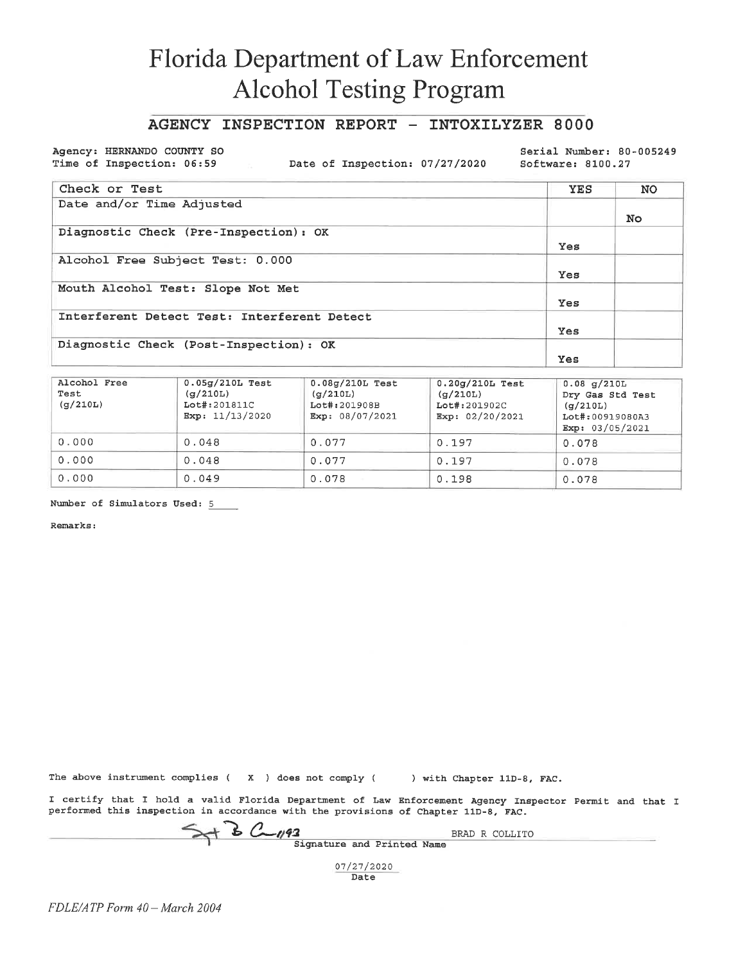#### AGENCY INSPECTION REPORT - INTOXILYZER 8000

Agency: HERNANDO COUNTY SO Time of Inspection: 06:59

Date of Inspection: 07/27/2020

Serial Number: 80-005249 Software: 8100.27

| Check or Test                               | <b>YES</b> | <b>NO</b> |
|---------------------------------------------|------------|-----------|
| Date and/or Time Adjusted                   |            |           |
|                                             |            | No.       |
| Diagnostic Check (Pre-Inspection): OK       |            |           |
|                                             | Yes        |           |
| Alcohol Free Subject Test: 0.000            |            |           |
|                                             | Yes        |           |
| Mouth Alcohol Test: Slope Not Met           |            |           |
|                                             | Yes        |           |
| Interferent Detect Test: Interferent Detect |            |           |
|                                             | <b>Yes</b> |           |
| Diagnostic Check (Post-Inspection): OK      |            |           |
|                                             | Yes        |           |

| Alcohol Free<br>Test<br>(q/210L) | $0.05g/210L$ Test<br>(g/210L)<br>Lot#:201811C<br>Exp: $11/13/2020$ | $0.08g/210L$ Test<br>(q/210L)<br>Lot#:201908B<br>Exp: 08/07/2021 | $0.20q/210L$ Test<br>(g/210L)<br>Lot#:201902C<br>Exp: $02/20/2021$ | $0.08$ g/210L<br>Dry Gas Std Test<br>(q/210L)<br>Lot#:00919080A3<br>Exp: 03/05/2021 |
|----------------------------------|--------------------------------------------------------------------|------------------------------------------------------------------|--------------------------------------------------------------------|-------------------------------------------------------------------------------------|
| 0.000                            | 0.048                                                              | 0.077                                                            | 0.197                                                              | 0.078                                                                               |
| 0.000                            | 0.048                                                              | 0.077                                                            | 0.197                                                              | 0.078                                                                               |
| 0.000                            | 0.049                                                              | 0.078                                                            | 0.198                                                              | 0.078                                                                               |

Number of Simulators Used: 5

Remarks:

The above instrument complies ( $X$ ) does not comply ( $X$ ) with Chapter 11D-8, FAC.

I certify that I hold a valid Florida Department of Law Enforcement Agency Inspector Permit and that I performed this inspection in accordance with the provisions of Chapter 11D-8, FAC.

Set B C 193<br>Signature and Printed Name

BRAD R COLLITO

07/27/2020 Date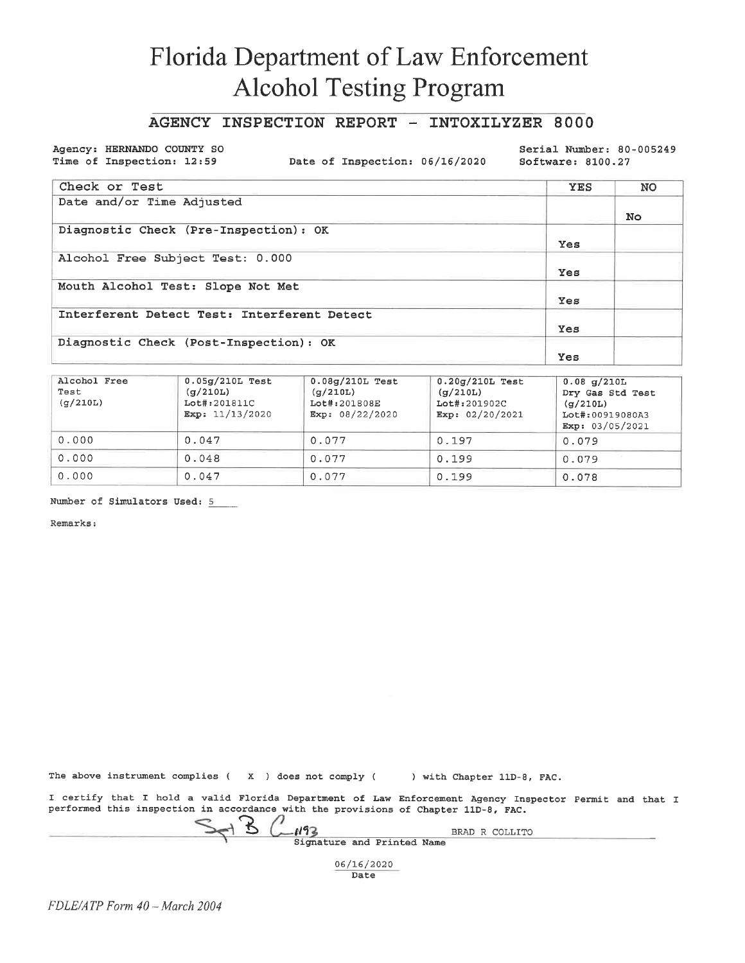### AGENCY INSPECTION REPORT - INTOXILYZER 8000

Agency: HERNANDO COUNTY SO Time of Inspection: 12:59

Date of Inspection: 06/16/2020

Serial Number: 80-005249 Software: 8100.27

| Check or Test                               | <b>YES</b> | NO  |
|---------------------------------------------|------------|-----|
| Date and/or Time Adjusted                   |            | No. |
| Diagnostic Check (Pre-Inspection): OK       | Yes        |     |
| Alcohol Free Subject Test: 0.000            | Yes        |     |
| Mouth Alcohol Test: Slope Not Met           | Yes        |     |
| Interferent Detect Test: Interferent Detect | <b>Yes</b> |     |
| Diagnostic Check (Post-Inspection): OK      | Yes        |     |

| Alcohol Free<br>Test<br>$(\sigma/210L)$ | $0.05q/210L$ Test<br>(q/210L)<br>Lot#:201811C<br>Exp: $11/13/2020$ | $0.08g/210L$ Test<br>(g/210L)<br>Lot#:201808E<br>Exp: $08/22/2020$ | $0.20q/210L$ Test<br>(g/210L)<br>Lot#:201902C<br>Exp: $02/20/2021$ | $0.08$ g/210L<br>Dry Gas Std Test<br>(q/210L)<br>Lot#:00919080A3<br>Exp: 03/05/2021 |
|-----------------------------------------|--------------------------------------------------------------------|--------------------------------------------------------------------|--------------------------------------------------------------------|-------------------------------------------------------------------------------------|
| 0.000                                   | 0.047                                                              | 0.077                                                              | 0.197                                                              | 0.079                                                                               |
| 0.000                                   | 0.048                                                              | 0.077                                                              | 0.199                                                              | 0.079                                                                               |
| 0.000                                   | 0.047                                                              | 0.077                                                              | 0.199                                                              | 0.078                                                                               |

Number of Simulators Used: 5

Remarks:

|  |  |  |  |  |  |  | The above instrument complies $(X, X)$ does not comply $(X, X)$ |  |  | ) with Chapter 11D-8, FAC. |  |  |  |
|--|--|--|--|--|--|--|-----------------------------------------------------------------|--|--|----------------------------|--|--|--|
|--|--|--|--|--|--|--|-----------------------------------------------------------------|--|--|----------------------------|--|--|--|

I certify that I hold a valid Florida Department of Law Enforcement Agency Inspector Permit and that I performed this inspection in accordance with the provisions of Chapter 11D-8, FAC.

 $B$   $C$ -193 BRAD R COLLITO Signature and Printed Name 06/16/2020

Date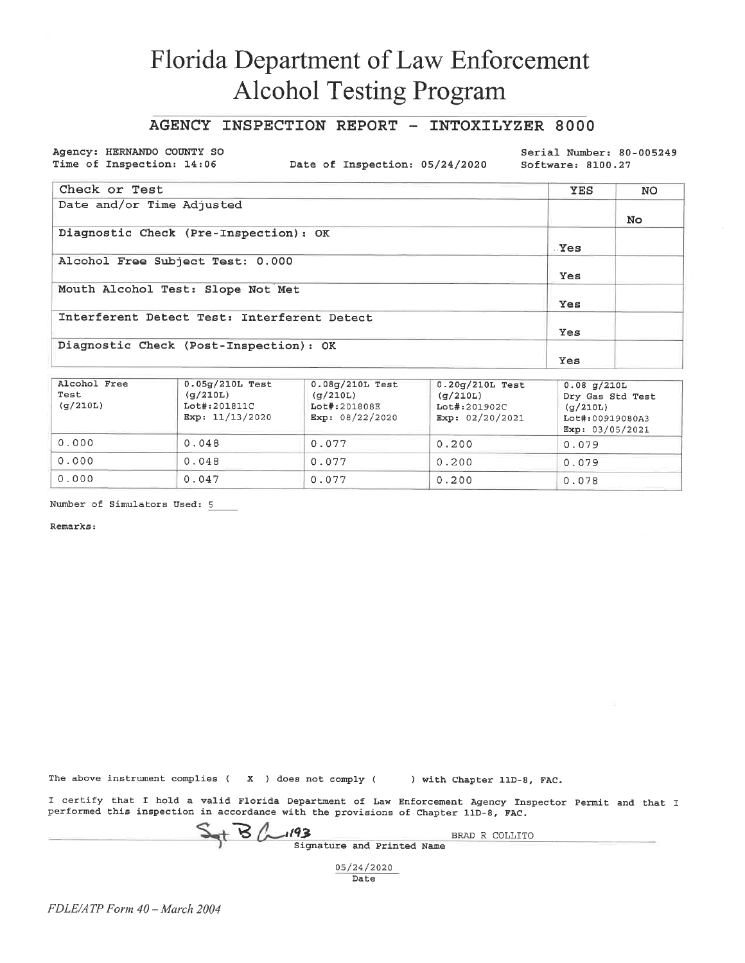### AGENCY INSPECTION REPORT - INTOXILYZER 8000

Agency: HERNANDO COUNTY SO Time of Inspection: 14:06

Date of Inspection: 05/24/2020

Serial Number: 80-005249 Software: 8100.27

| Check or Test                               | <b>YES</b> | NO |
|---------------------------------------------|------------|----|
| Date and/or Time Adjusted                   |            |    |
|                                             |            | No |
| Diagnostic Check (Pre-Inspection): OK       |            |    |
|                                             | Yes        |    |
| Alcohol Free Subject Test: 0.000            |            |    |
|                                             | Yes        |    |
| Mouth Alcohol Test: Slope Not Met           |            |    |
|                                             | Yes        |    |
| Interferent Detect Test: Interferent Detect |            |    |
|                                             | Yes        |    |
| Diagnostic Check (Post-Inspection): OK      |            |    |
|                                             | Yes        |    |

| Alcohol Free<br>Test<br>(q/210L) | $0.05q/210L$ Test<br>(g/210L)<br>Lot#:201811C<br>Exp: $11/13/2020$ | $0.08q/210L$ Test<br>(q/210L)<br>Lot#:201808E<br>Exp: 08/22/2020 | $0.20g/210L$ Test<br>(g/210L)<br>Lot#:201902C<br>Exp: $02/20/2021$ | $0.08$ q/210L<br>Dry Gas Std Test<br>(q/210L)<br>Lot#:00919080A3<br>Exp: 03/05/2021 |
|----------------------------------|--------------------------------------------------------------------|------------------------------------------------------------------|--------------------------------------------------------------------|-------------------------------------------------------------------------------------|
| 0.000                            | 0.048                                                              | 0.077                                                            | 0.200                                                              | 0.079                                                                               |
| 0.000                            | 0.048                                                              | 0.077                                                            | 0.200                                                              | 0.079                                                                               |
| 0.000                            | 0.047                                                              | 0.077                                                            | 0.200                                                              | 0.078                                                                               |

Number of Simulators Used: 5

Remarks:

The above instrument complies  $(X - )$  does not comply  $($  ) with Chapter 11D-8, FAC.

I certify that I hold a valid Florida Department of Law Enforcement Agency Inspector Permit and that I performed this inspection in accordance with the provisions of Chapter 11D-8, FAC.

 $S_{at}B_{cm}193$ 

Signature and Printed Name

BRAD R COLLITO

05/24/2020 Date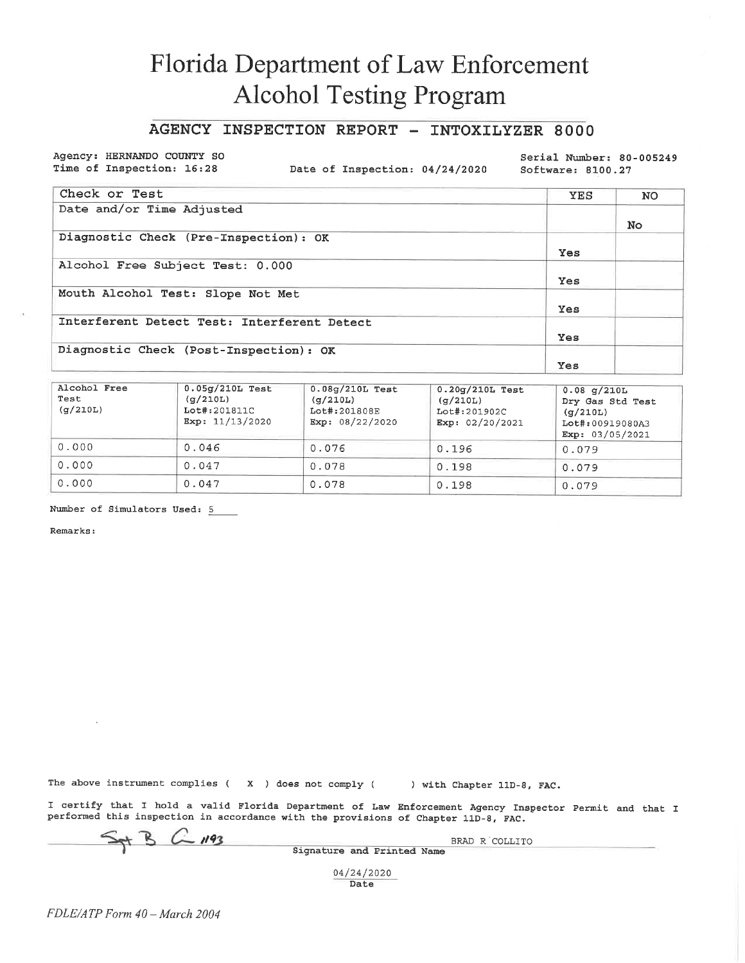### AGENCY INSPECTION REPORT - INTOXILYZER 8000

Agency: HERNANDO COUNTY SO Time of Inspection: 16:28

Date of Inspection: 04/24/2020

Serial Number: 80-005249 Software: 8100.27

| Check or Test                               | YES | NO. |
|---------------------------------------------|-----|-----|
| Date and/or Time Adjusted                   |     |     |
|                                             |     | No. |
| Diagnostic Check (Pre-Inspection): OK       |     |     |
|                                             | Yes |     |
| Alcohol Free Subject Test: 0.000            |     |     |
|                                             | Yes |     |
| Mouth Alcohol Test: Slope Not Met           |     |     |
|                                             | Yes |     |
| Interferent Detect Test: Interferent Detect |     |     |
|                                             | Yes |     |
| Diagnostic Check (Post-Inspection): OK      |     |     |
|                                             | Yes |     |

| Alcohol Free<br>Test<br>(a/210L) | $0.05g/210L$ Test<br>(q/210L)<br>Lot#:201811C<br>Exp: 11/13/2020 | $0.08q/210L$ Test<br>(g/210L)<br>Lot#:201808E<br>Exp: $08/22/2020$ | $0.20q/210L$ Test<br>(g/210L)<br>Lot#:201902C<br>Exp: $02/20/2021$ | $0.08$ g/210L<br>Dry Gas Std Test<br>(q/210L)<br>Lot#:00919080A3<br>Exp: 03/05/2021 |
|----------------------------------|------------------------------------------------------------------|--------------------------------------------------------------------|--------------------------------------------------------------------|-------------------------------------------------------------------------------------|
| 0.000                            | 0.046                                                            | 0.076                                                              | 0.196                                                              | 0.079                                                                               |
| 0.000                            | 0.047                                                            | 0.078                                                              | 0.198                                                              | 0.079                                                                               |
| 0.000                            | 0.047                                                            | 0.078                                                              | 0.198                                                              | 0.079                                                                               |

Number of Simulators Used: 5

Remarks:

The above instrument complies  $(X)$  does not comply  $(X)$ 

) with Chapter 11D-8, FAC.

BRAD R COLLITO

I certify that I hold a valid Florida Department of Law Enforcement Agency Inspector Permit and that I performed this inspection in accordance with the provisions of Chapter 11D-8, FAC.

 $C$  1193

Signature and Printed Name

04/24/2020 Date